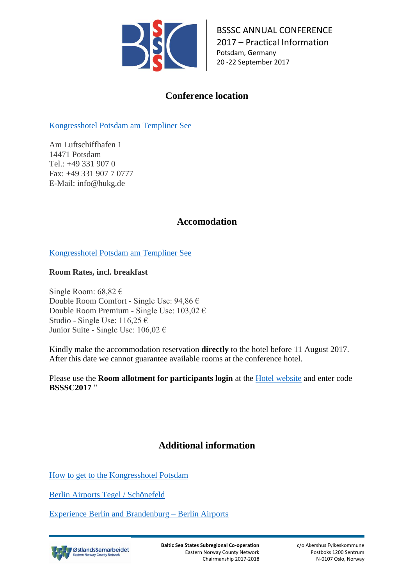

BSSSC ANNUAL CONFERENCE 2017 – Practical Information Potsdam, Germany 20 -22 September 2017

# **Conference location**

[Kongresshotel Potsdam am Templiner See](https://www.kongresshotel-potsdam.de/hotel/)

Am Luftschiffhafen 1 14471 Potsdam Tel.: +49 331 907 0 Fax: +49 331 907 7 0777 E-Mail: info@hukg.de

## **Accomodation**

[Kongresshotel Potsdam am Templiner See](https://www.kongresshotel-potsdam.de/hotel/)

**Room Rates, incl. breakfast**

Single Room: 68,82 € Double Room Comfort - Single Use: 94,86 € Double Room Premium - Single Use: 103,02 € Studio - Single Use: 116,25 € Junior Suite - Single Use:  $106,02 \in$ 

Kindly make the accommodation reservation **directly** to the hotel before 11 August 2017. After this date we cannot guarantee available rooms at the conference hotel.

Please use the **Room allotment for participants login** at the [Hotel website](https://www.kongresshotel-potsdam.com/customer-login/) and enter code **BSSSC2017** "

## **Additional information**

[How to get to the Kongresshotel Potsdam](https://www.kongresshotel-potsdam.com/hotel/hotel-in-potsdam-berlin/)

[Berlin Airports Tegel / Schönefeld](http://www.berlin-airport.de/en/index.php)

[Experience Berlin and Brandenburg –](http://www.berlin-airport.de/en/travellers-sxf/berlin-brandenburg/index.php) Berlin Airports

ØstlandsSamarbeidet way C